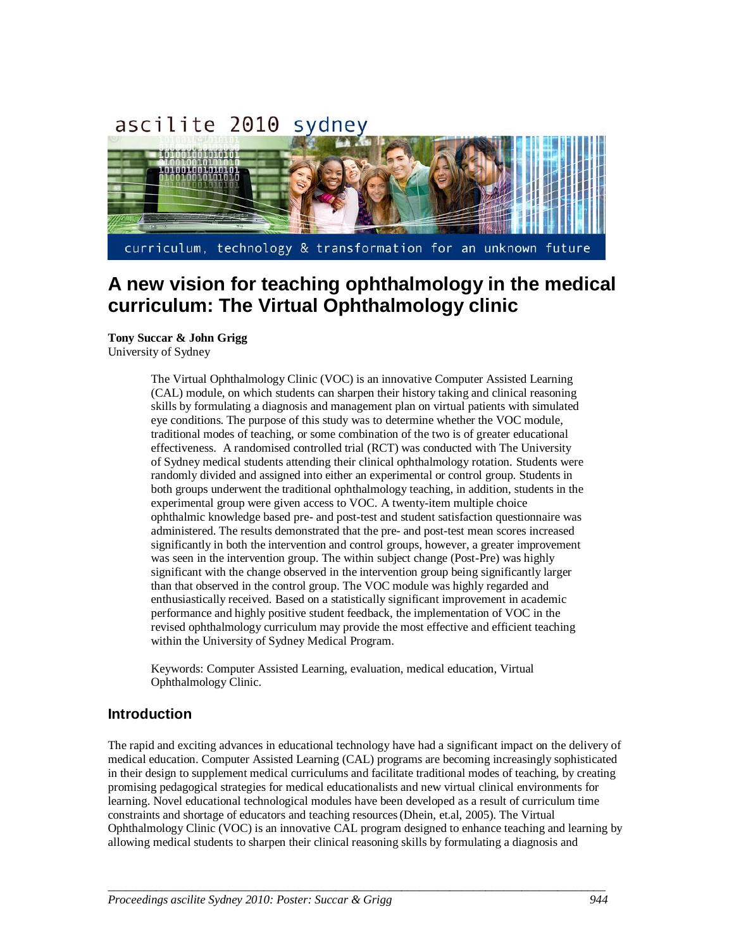# ascilite 2010 sydney



## **A new vision for teaching ophthalmology in the medical curriculum: The Virtual Ophthalmology clinic**

**Tony Succar & John Grigg** University of Sydney

> The Virtual Ophthalmology Clinic (VOC) is an innovative Computer Assisted Learning (CAL) module, on which students can sharpen their history taking and clinical reasoning skills by formulating a diagnosis and management plan on virtual patients with simulated eye conditions. The purpose of this study was to determine whether the VOC module, traditional modes of teaching, or some combination of the two is of greater educational effectiveness. A randomised controlled trial (RCT) was conducted with The University of Sydney medical students attending their clinical ophthalmology rotation. Students were randomly divided and assigned into either an experimental or control group. Students in both groups underwent the traditional ophthalmology teaching, in addition, students in the experimental group were given access to VOC. A twenty-item multiple choice ophthalmic knowledge based pre- and post-test and student satisfaction questionnaire was administered. The results demonstrated that the pre- and post-test mean scores increased significantly in both the intervention and control groups, however, a greater improvement was seen in the intervention group. The within subject change (Post-Pre) was highly significant with the change observed in the intervention group being significantly larger than that observed in the control group. The VOC module was highly regarded and enthusiastically received. Based on a statistically significant improvement in academic performance and highly positive student feedback, the implementation of VOC in the revised ophthalmology curriculum may provide the most effective and efficient teaching within the University of Sydney Medical Program.

Keywords: Computer Assisted Learning, evaluation, medical education, Virtual Ophthalmology Clinic.

#### **Introduction**

The rapid and exciting advances in educational technology have had a significant impact on the delivery of medical education. Computer Assisted Learning (CAL) programs are becoming increasingly sophisticated in their design to supplement medical curriculums and facilitate traditional modes of teaching, by creating promising pedagogical strategies for medical educationalists and new virtual clinical environments for learning. Novel educational technological modules have been developed as a result of curriculum time constraints and shortage of educators and teaching resources(Dhein, et.al, 2005). The Virtual Ophthalmology Clinic (VOC) is an innovative CAL program designed to enhance teaching and learning by allowing medical students to sharpen their clinical reasoning skills by formulating a diagnosis and

*\_\_\_\_\_\_\_\_\_\_\_\_\_\_\_\_\_\_\_\_\_\_\_\_\_\_\_\_\_\_\_\_\_\_\_\_\_\_\_\_\_\_\_\_\_\_\_\_\_\_\_\_\_\_\_\_\_\_\_\_\_\_\_\_\_\_\_\_\_\_\_\_\_\_\_\_\_\_\_\_\_\_\_*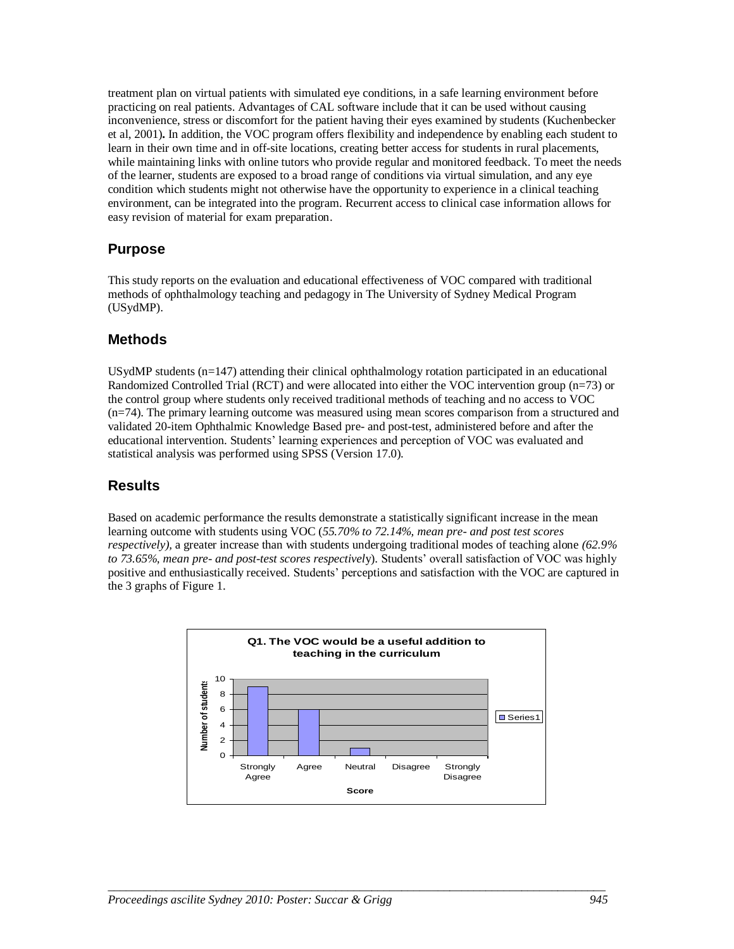treatment plan on virtual patients with simulated eye conditions, in a safe learning environment before practicing on real patients. Advantages of CAL software include that it can be used without causing inconvenience, stress or discomfort for the patient having their eyes examined by students (Kuchenbecker et al, 2001)**.** In addition, the VOC program offers flexibility and independence by enabling each student to learn in their own time and in off-site locations, creating better access for students in rural placements, while maintaining links with online tutors who provide regular and monitored feedback. To meet the needs of the learner, students are exposed to a broad range of conditions via virtual simulation, and any eye condition which students might not otherwise have the opportunity to experience in a clinical teaching environment, can be integrated into the program. Recurrent access to clinical case information allows for easy revision of material for exam preparation.

### **Purpose**

This study reports on the evaluation and educational effectiveness of VOC compared with traditional methods of ophthalmology teaching and pedagogy in The University of Sydney Medical Program (USydMP).

### **Methods**

USydMP students (n=147) attending their clinical ophthalmology rotation participated in an educational Randomized Controlled Trial (RCT) and were allocated into either the VOC intervention group (n=73) or the control group where students only received traditional methods of teaching and no access to VOC (n=74). The primary learning outcome was measured using mean scores comparison from a structured and validated 20-item Ophthalmic Knowledge Based pre- and post-test, administered before and after the educational intervention. Students' learning experiences and perception of VOC was evaluated and statistical analysis was performed using SPSS (Version 17.0).

### **Results**

Based on academic performance the results demonstrate a statistically significant increase in the mean learning outcome with students using VOC (*55.70% to 72.14%, mean pre- and post test scores respectively),* a greater increase than with students undergoing traditional modes of teaching alone *(62.9% to 73.65%, mean pre- and post-test scores respectivel*y). Students' overall satisfaction of VOC was highly positive and enthusiastically received. Students' perceptions and satisfaction with the VOC are captured in the 3 graphs of Figure 1.



*\_\_\_\_\_\_\_\_\_\_\_\_\_\_\_\_\_\_\_\_\_\_\_\_\_\_\_\_\_\_\_\_\_\_\_\_\_\_\_\_\_\_\_\_\_\_\_\_\_\_\_\_\_\_\_\_\_\_\_\_\_\_\_\_\_\_\_\_\_\_\_\_\_\_\_\_\_\_\_\_\_\_\_*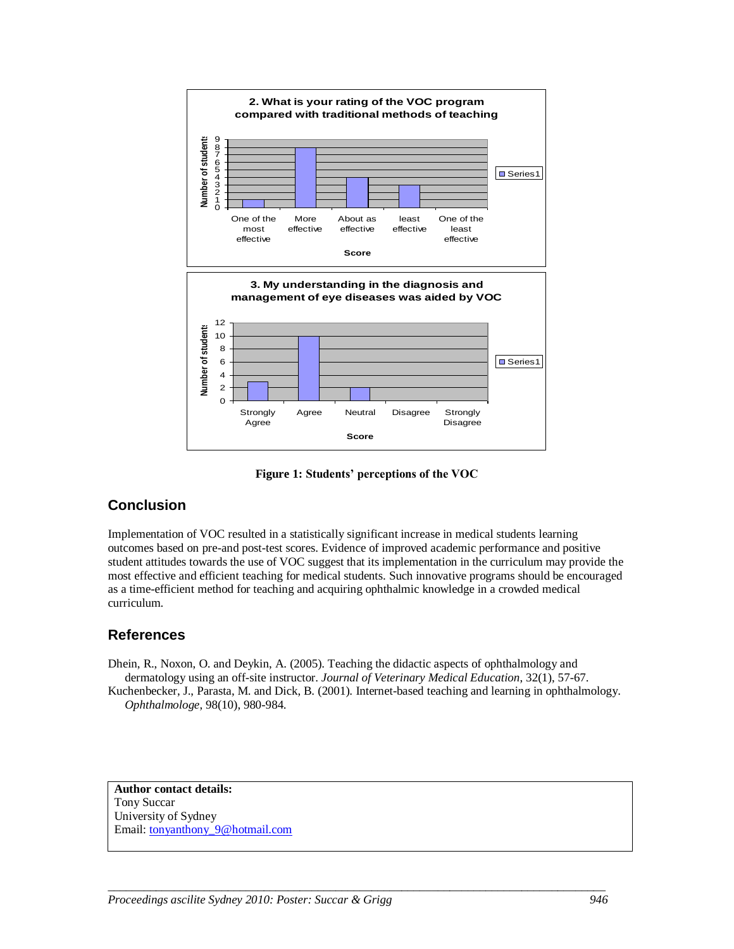

**Figure 1: Students' perceptions of the VOC**

### **Conclusion**

Implementation of VOC resulted in a statistically significant increase in medical students learning outcomes based on pre-and post-test scores. Evidence of improved academic performance and positive student attitudes towards the use of VOC suggest that its implementation in the curriculum may provide the most effective and efficient teaching for medical students. Such innovative programs should be encouraged as a time-efficient method for teaching and acquiring ophthalmic knowledge in a crowded medical curriculum.

### **References**

Dhein, R., Noxon, O. and Deykin, A. (2005). Teaching the didactic aspects of ophthalmology and dermatology using an off-site instructor. *Journal of Veterinary Medical Education*, 32(1), 57-67.

Kuchenbecker, J., Parasta, M. and Dick, B. (2001). Internet-based teaching and learning in ophthalmology. *Ophthalmologe*, 98(10), 980-984.

*\_\_\_\_\_\_\_\_\_\_\_\_\_\_\_\_\_\_\_\_\_\_\_\_\_\_\_\_\_\_\_\_\_\_\_\_\_\_\_\_\_\_\_\_\_\_\_\_\_\_\_\_\_\_\_\_\_\_\_\_\_\_\_\_\_\_\_\_\_\_\_\_\_\_\_\_\_\_\_\_\_\_\_*

**Author contact details:** Tony Succar University of Sydney Email[: tonyanthony\\_9@hotmail.com](mailto:tonyanthony_9@hotmail.com)